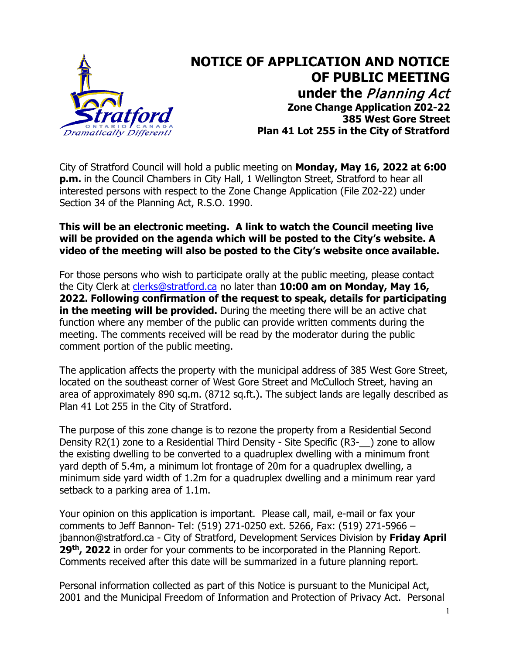

## **NOTICE OF APPLICATION AND NOTICE OF PUBLIC MEETING under the** Planning Act **Zone Change Application Z02-22 385 West Gore Street Plan 41 Lot 255 in the City of Stratford**

City of Stratford Council will hold a public meeting on **Monday, May 16, 2022 at 6:00 p.m.** in the Council Chambers in City Hall, 1 Wellington Street, Stratford to hear all interested persons with respect to the Zone Change Application (File Z02-22) under Section 34 of the Planning Act, R.S.O. 1990.

## **This will be an electronic meeting. A link to watch the Council meeting live will be provided on the agenda which will be posted to the City's website. A video of the meeting will also be posted to the City's website once available.**

For those persons who wish to participate orally at the public meeting, please contact the City Clerk at [clerks@stratford.ca](mailto:clerks@stratford.ca) no later than **10:00 am on Monday, May 16, 2022. Following confirmation of the request to speak, details for participating in the meeting will be provided.** During the meeting there will be an active chat function where any member of the public can provide written comments during the meeting. The comments received will be read by the moderator during the public comment portion of the public meeting.

The application affects the property with the municipal address of 385 West Gore Street, located on the southeast corner of West Gore Street and McCulloch Street, having an area of approximately 890 sq.m. (8712 sq.ft.). The subject lands are legally described as Plan 41 Lot 255 in the City of Stratford.

The purpose of this zone change is to rezone the property from a Residential Second Density R2(1) zone to a Residential Third Density - Site Specific (R3-\_\_) zone to allow the existing dwelling to be converted to a quadruplex dwelling with a minimum front yard depth of 5.4m, a minimum lot frontage of 20m for a quadruplex dwelling, a minimum side yard width of 1.2m for a quadruplex dwelling and a minimum rear yard setback to a parking area of 1.1m.

Your opinion on this application is important. Please call, mail, e-mail or fax your comments to Jeff Bannon- Tel: (519) 271-0250 ext. 5266, Fax: (519) 271-5966 – jbannon@stratford.ca - City of Stratford, Development Services Division by **Friday April** 29<sup>th</sup>, 2022 in order for your comments to be incorporated in the Planning Report. Comments received after this date will be summarized in a future planning report.

Personal information collected as part of this Notice is pursuant to the Municipal Act, 2001 and the Municipal Freedom of Information and Protection of Privacy Act. Personal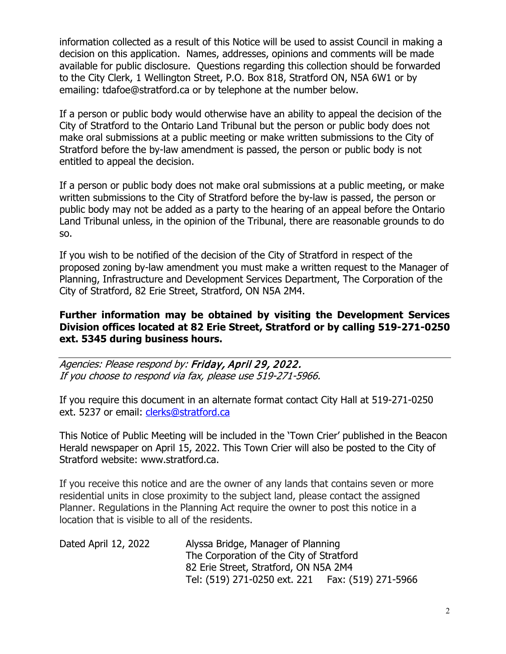information collected as a result of this Notice will be used to assist Council in making a decision on this application. Names, addresses, opinions and comments will be made available for public disclosure. Questions regarding this collection should be forwarded to the City Clerk, 1 Wellington Street, P.O. Box 818, Stratford ON, N5A 6W1 or by emailing: tdafoe@stratford.ca or by telephone at the number below.

If a person or public body would otherwise have an ability to appeal the decision of the City of Stratford to the Ontario Land Tribunal but the person or public body does not make oral submissions at a public meeting or make written submissions to the City of Stratford before the by-law amendment is passed, the person or public body is not entitled to appeal the decision.

If a person or public body does not make oral submissions at a public meeting, or make written submissions to the City of Stratford before the by-law is passed, the person or public body may not be added as a party to the hearing of an appeal before the Ontario Land Tribunal unless, in the opinion of the Tribunal, there are reasonable grounds to do so.

If you wish to be notified of the decision of the City of Stratford in respect of the proposed zoning by-law amendment you must make a written request to the Manager of Planning, Infrastructure and Development Services Department, The Corporation of the City of Stratford, 82 Erie Street, Stratford, ON N5A 2M4.

## **Further information may be obtained by visiting the Development Services Division offices located at 82 Erie Street, Stratford or by calling 519-271-0250 ext. 5345 during business hours.**

Agencies: Please respond by: Friday, April 29, 2022. If you choose to respond via fax, please use 519-271-5966.

If you require this document in an alternate format contact City Hall at 519-271-0250 ext. 5237 or email: [clerks@stratford.ca](mailto:clerks@stratford.ca) 

This Notice of Public Meeting will be included in the 'Town Crier' published in the Beacon Herald newspaper on April 15, 2022. This Town Crier will also be posted to the City of Stratford website: www.stratford.ca.

If you receive this notice and are the owner of any lands that contains seven or more residential units in close proximity to the subject land, please contact the assigned Planner. Regulations in the Planning Act require the owner to post this notice in a location that is visible to all of the residents.

| Dated April 12, 2022 | Alyssa Bridge, Manager of Planning                 |  |
|----------------------|----------------------------------------------------|--|
|                      | The Corporation of the City of Stratford           |  |
|                      | 82 Erie Street, Stratford, ON N5A 2M4              |  |
|                      | Tel: (519) 271-0250 ext. 221   Fax: (519) 271-5966 |  |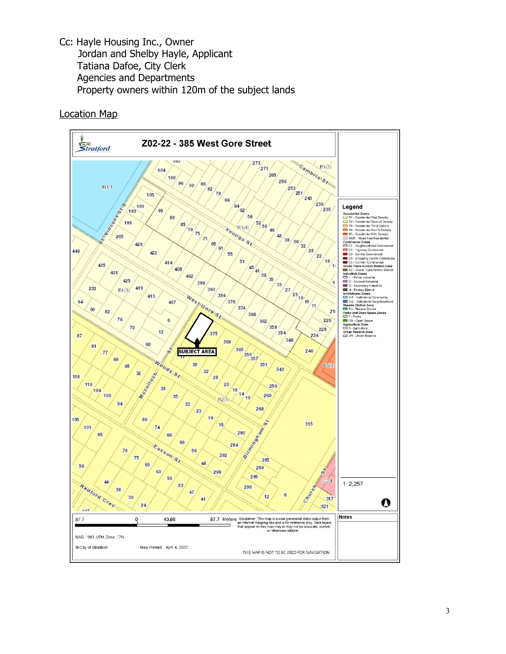Cc: Hayle Housing Inc., Owner Jordan and Shelby Hayle, Applicant Tatiana Dafoe, City Clerk Agencies and Departments Property owners within 120m of the subject lands

Location Map